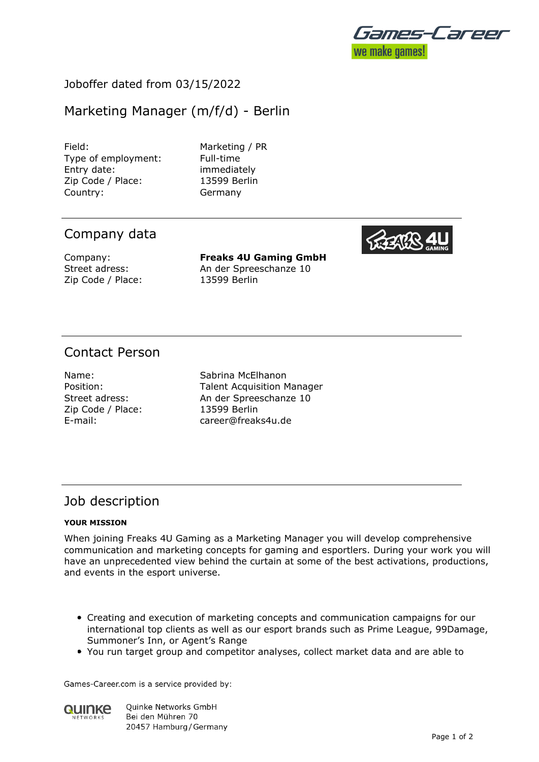

## Joboffer dated from 03/15/2022

# Marketing Manager (m/f/d) - Berlin

Field: Marketing / PR Type of employment: Full-time Entry date: immediately Zip Code / Place: 13599 Berlin Country: Germany

# Company data

Zip Code / Place: 13599 Berlin

Company: **Freaks 4U Gaming GmbH** Street adress: An der Spreeschanze 10

# Contact Person

Zip Code / Place: 13599 Berlin

Name: Sabrina McElhanon Position: Talent Acquisition Manager Street adress: An der Spreeschanze 10 E-mail: career@freaks4u.de

### Job description

#### **YOUR MISSION**

When joining Freaks 4U Gaming as a Marketing Manager you will develop comprehensive communication and marketing concepts for gaming and esportlers. During your work you will have an unprecedented view behind the curtain at some of the best activations, productions, and events in the esport universe.

- Creating and execution of marketing concepts and communication campaigns for our international top clients as well as our esport brands such as Prime League, 99Damage, Summoner's Inn, or Agent's Range
- You run target group and competitor analyses, collect market data and are able to

Games-Career.com is a service provided by:



**Ouinke Networks GmbH** Bei den Mühren 70 20457 Hamburg / Germany